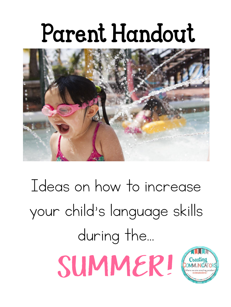### Parent Handout



Ideas on how to increase your child's language skills during the…

SUMMER!

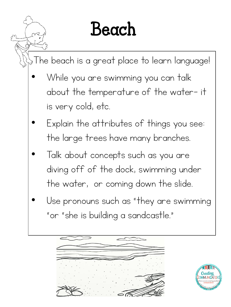#### Beach

The beach is a great place to learn language!

- While you are swimming you can talk about the temperature of the water- it is very cold, etc.
- Explain the attributes of things you see: the large trees have many branches.
- Talk about concepts such as you are diving off of the dock, swimming under the water, or coming down the slide.
- Use pronouns such as "they are swimming" "or "she is building a sandcastle."



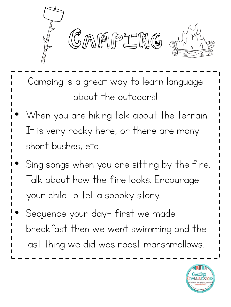

Camping is a great way to learn language about the outdoors!

- When you are hiking talk about the terrain. It is very rocky here, or there are many short bushes, etc.
- Sing songs when you are sitting by the fire. Talk about how the fire looks. Encourage your child to tell a spooky story.
- Sequence your day- first we made breakfast then we went swimming and the last thing we did was roast marshmallows.

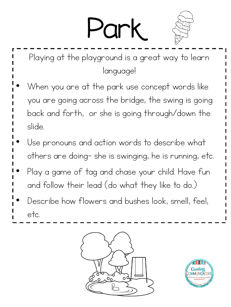## Park



- Playing at the playground is a great way to learn language!
- When you are at the park use concept words like you are going across the bridge, the swing is going back and forth, or she is going through/down the slide.
- Use pronouns and action words to describe what others are doing- she is swinging, he is running, etc.
- Play a game of tag and chase your child. Have fun and follow their lead (do what they like to do.)
- Describe how flowers and bushes look, smell, feel, etc.



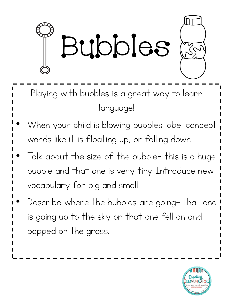

- Playing with bubbles is a great way to learn language!
- When your child is blowing bubbles label concept words like it is floating up, or falling down.
- Talk about the size of the bubble- this is a huge bubble and that one is very tiny. Introduce new vocabulary for big and small.
- Describe where the bubbles are going- that one is going up to the sky or that one fell on and popped on the grass.

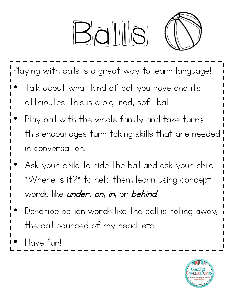# $B_0$



Playing with balls is a great way to learn language!

- Talk about what kind of ball you have and its attributes: this is a big, red, soft ball.
- Play ball with the whole family and take turns this encourages turn taking skills that are needed in conversation.
- Ask your child to hide the ball and ask your child, "Where is it?" to help them learn using concept words like *under*, *on, in,* or *behind*.
- Describe action words like the ball is rolling away, the ball bounced of my head, etc.
- Have fun!